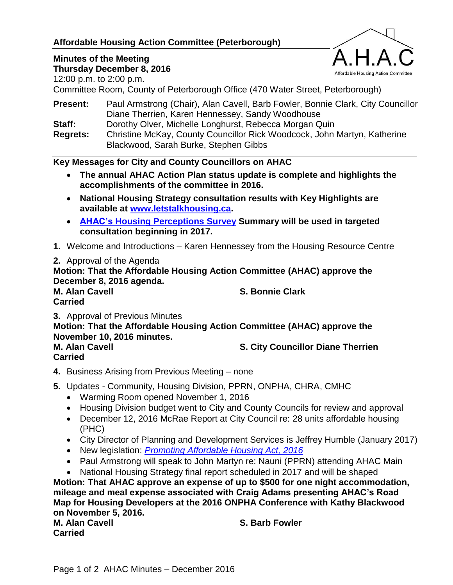# **Affordable Housing Action Committee (Peterborough)**

# Affordable Housing Action Committee

#### **Minutes of the Meeting Thursday December 8, 2016**

12:00 p.m. to 2:00 p.m.

Committee Room, County of Peterborough Office (470 Water Street, Peterborough)

| <b>Present:</b> | Paul Armstrong (Chair), Alan Cavell, Barb Fowler, Bonnie Clark, City Councillor |
|-----------------|---------------------------------------------------------------------------------|
|                 | Diane Therrien, Karen Hennessey, Sandy Woodhouse                                |
| Staff:          | Dorothy Olver, Michelle Longhurst, Rebecca Morgan Quin                          |
| <b>Regrets:</b> | Christine McKay, County Councillor Rick Woodcock, John Martyn, Katherine        |
|                 | Blackwood, Sarah Burke, Stephen Gibbs                                           |

# **Key Messages for City and County Councillors on AHAC**

- **The annual AHAC Action Plan status update is complete and highlights the accomplishments of the committee in 2016.**
- **National Housing Strategy consultation results with Key Highlights are available at [www.letstalkhousing.ca.](http://www.letstalkhousing.ca/)**
- **[AHAC's Housing Perceptions Survey](http://www.peterborough.ca/Assets/City+Assets/Housing/Documents/Reports/2016+AHAC+Housing+Perceptions+Survey+Summary+document.pdf) Summary will be used in targeted consultation beginning in 2017.**
- **1.** Welcome and Introductions Karen Hennessey from the Housing Resource Centre
- **2.** Approval of the Agenda

**Motion: That the Affordable Housing Action Committee (AHAC) approve the December 8, 2016 agenda.**

**M. Alan Cavell S. Bonnie Clark Carried**

**3.** Approval of Previous Minutes

**Motion: That the Affordable Housing Action Committee (AHAC) approve the November 10, 2016 minutes.**

**Carried**

**M. Alan Cavell S. City Councillor Diane Therrien**

- **4.** Business Arising from Previous Meeting none
- **5.** Updates Community, Housing Division, PPRN, ONPHA, CHRA, CMHC
	- Warming Room opened November 1, 2016
	- Housing Division budget went to City and County Councils for review and approval
	- December 12, 2016 McRae Report at City Council re: 28 units affordable housing (PHC)
	- City Director of Planning and Development Services is Jeffrey Humble (January 2017)
	- New legislation: *[Promoting Affordable Housing Act, 2016](http://www.ontla.on.ca/web/bills/bills_detail.do?locale=en&BillID=4025)*
	- Paul Armstrong will speak to John Martyn re: Nauni (PPRN) attending AHAC Main
	- National Housing Strategy final report scheduled in 2017 and will be shaped

**Motion: That AHAC approve an expense of up to \$500 for one night accommodation, mileage and meal expense associated with Craig Adams presenting AHAC's Road Map for Housing Developers at the 2016 ONPHA Conference with Kathy Blackwood on November 5, 2016.**

**M. Alan Cavell S. Barb Fowler Carried**